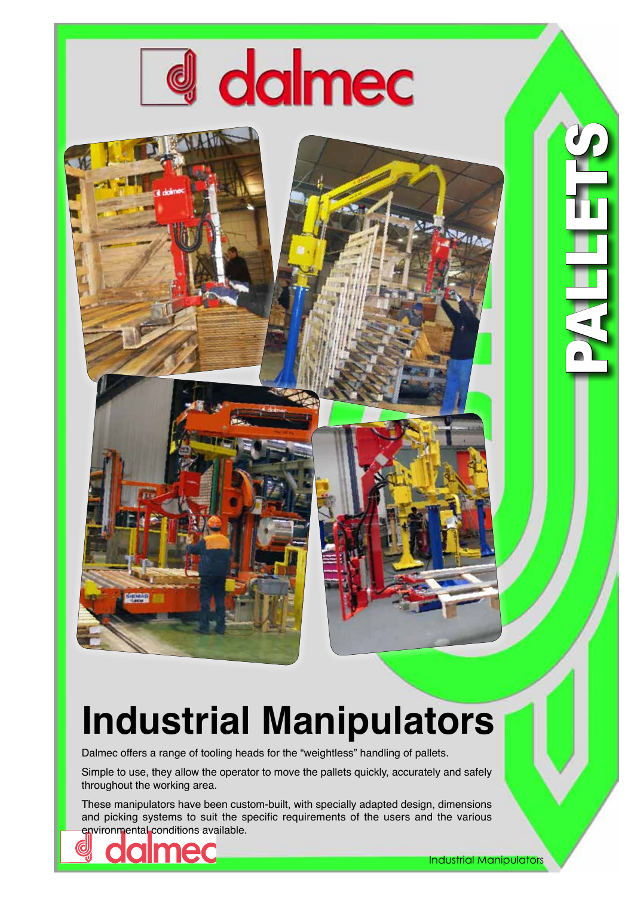

## **Industrial Manipulators**

Dalmec offers a range of tooling heads for the "weightless" handling of pallets.

Simple to use, they allow the operator to move the pallets quickly, accurately and safely throughout the working area.

These manipulators have been custom-built, with specially adapted design, dimensions and picking systems to suit the specific requirements of the users and the various environmental conditions available.





1301

PALLET EN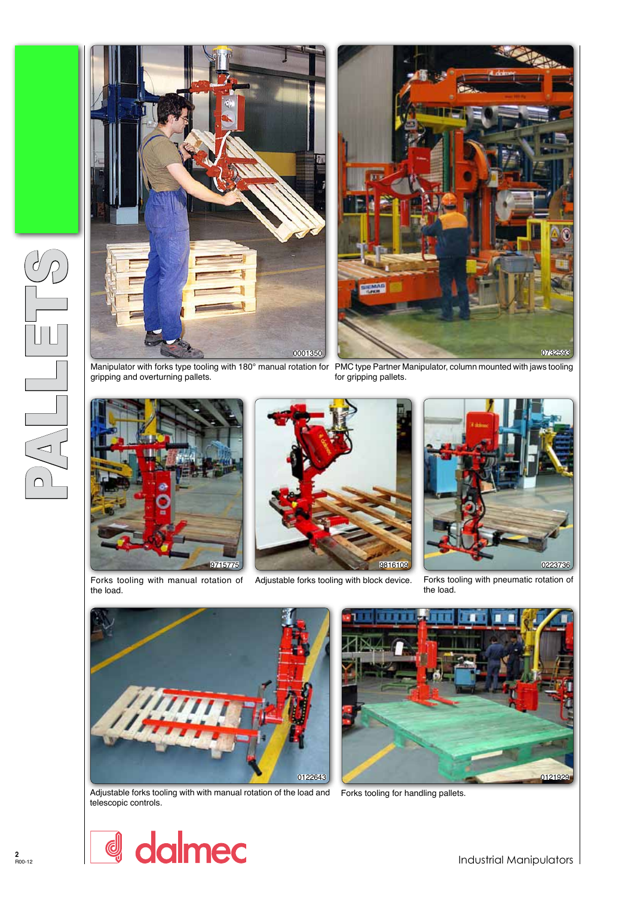



Manipulator with forks type tooling with 180° manual rotation for PMC type Partner Manipulator, column mounted with jaws tooling gripping and overturning pallets.



the load.



for gripping pallets.



Forks tooling with manual rotation of Adjustable forks tooling with block device. Forks tooling with pneumatic rotation of the load.



Adjustable forks tooling with with manual rotation of the load and Forks tooling for handling pallets. telescopic controls.





PALLETTS<br>PALLETTS

 $\left\langle \right\rangle$ 

 $\Box$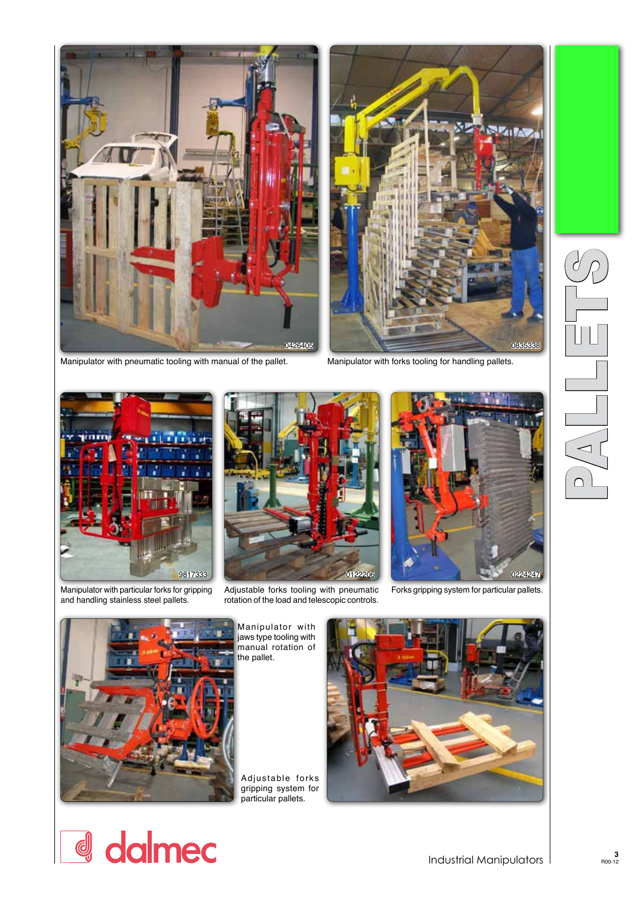



Manipulator with pneumatic tooling with manual of the pallet. Manipulator with forks tooling for handling pallets.



Manipulator with particular forks for gripping and handling stainless steel pallets.



Adjustable forks tooling with pneumatic Forks gripping system for particular pallets. rotation of the load and telescopic controls.





d dalmec

Manipulator with jaws type tooling with manual rotation of the pallet.

Adjustable forks gripping system for particular pallets.



PALLETTS<br>PALLETTS  $\sqrt{\Delta}$  $\bigcap$